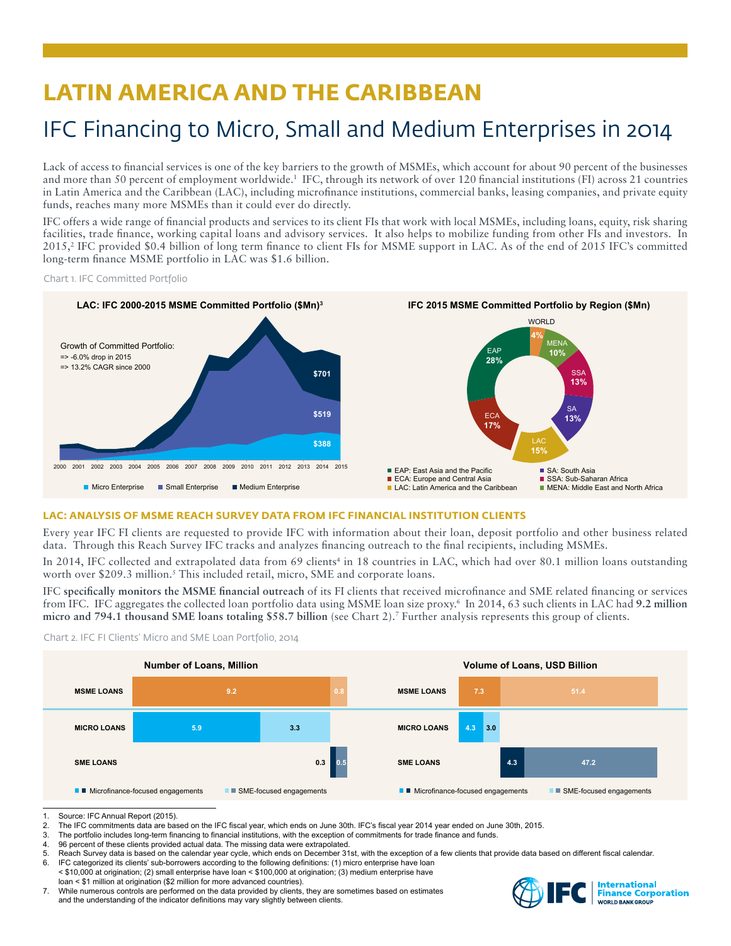# **LATIN AMERICA AND THE CARIBBEAN**

# IFC Financing to Micro, Small and Medium Enterprises in 2014

Lack of access to financial services is one of the key barriers to the growth of MSMEs, which account for about 90 percent of the businesses and more than 50 percent of employment worldwide.<sup>1</sup> IFC, through its network of over 120 financial institutions (FI) across 21 countries in Latin America and the Caribbean (LAC), including microfinance institutions, commercial banks, leasing companies, and private equity funds, reaches many more MSMEs than it could ever do directly.

IFC offers a wide range of financial products and services to its client FIs that work with local MSMEs, including loans, equity, risk sharing facilities, trade finance, working capital loans and advisory services. It also helps to mobilize funding from other FIs and investors. In 2015,<sup>2</sup> IFC provided \$0.4 billion of long term finance to client FIs for MSME support in LAC. As of the end of 2015 IFC's committed long-term finance MSME portfolio in LAC was \$1.6 billion.

Chart 1. IFC Committed Portfolio



# **LAC: ANALYSIS OF MSME REACH SURVEY DATA FROM IFC FINANCIAL INSTITUTION CLIENTS**

Every year IFC FI clients are requested to provide IFC with information about their loan, deposit portfolio and other business related data. Through this Reach Survey IFC tracks and analyzes financing outreach to the final recipients, including MSMEs.

In 2014, IFC collected and extrapolated data from 69 clients<sup>4</sup> in 18 countries in LAC, which had over 80.1 million loans outstanding worth over \$209.3 million.<sup>5</sup> This included retail, micro, SME and corporate loans.

IFC **specifically monitors the MSME financial outreach** of its FI clients that received microfinance and SME related financing or services from IFC. IFC aggregates the collected loan portfolio data using MSME loan size proxy.6 In 2014, 63 such clients in LAC had **9.2 million micro and 794.1 thousand SME loans totaling \$58.7 billion** (see Chart 2).7 Further analysis represents this group of clients.





<sup>1.</sup> Source: IFC Annual Report (2015).<br>2. The IFC commitments data are base

- 3. The portfolio includes long-term financing to financial institutions, with the exception of commitments for trade finance and funds.<br>4. 96 percent of these clients provided actual data. The missing data were extrapolate
- 96 percent of these clients provided actual data. The missing data were extrapolated.
- 5. Reach Survey data is based on the calendar year cycle, which ends on December 31st, with the exception of a few clients that provide data based on different fiscal calendar.<br>6. IEC categorized its clients' sub-borrowers
- IFC categorized its clients' sub-borrowers according to the following definitions: (1) micro enterprise have loan < \$10,000 at origination; (2) small enterprise have loan < \$100,000 at origination; (3) medium enterprise have loan < \$1 million at origination (\$2 million for more advanced countries).
- 7. While numerous controls are performed on the data provided by clients, they are sometimes based on estimates and the understanding of the indicator definitions may vary slightly between clients.



The IFC commitments data are based on the IFC fiscal year, which ends on June 30th. IFC's fiscal year 2014 year ended on June 30th, 2015.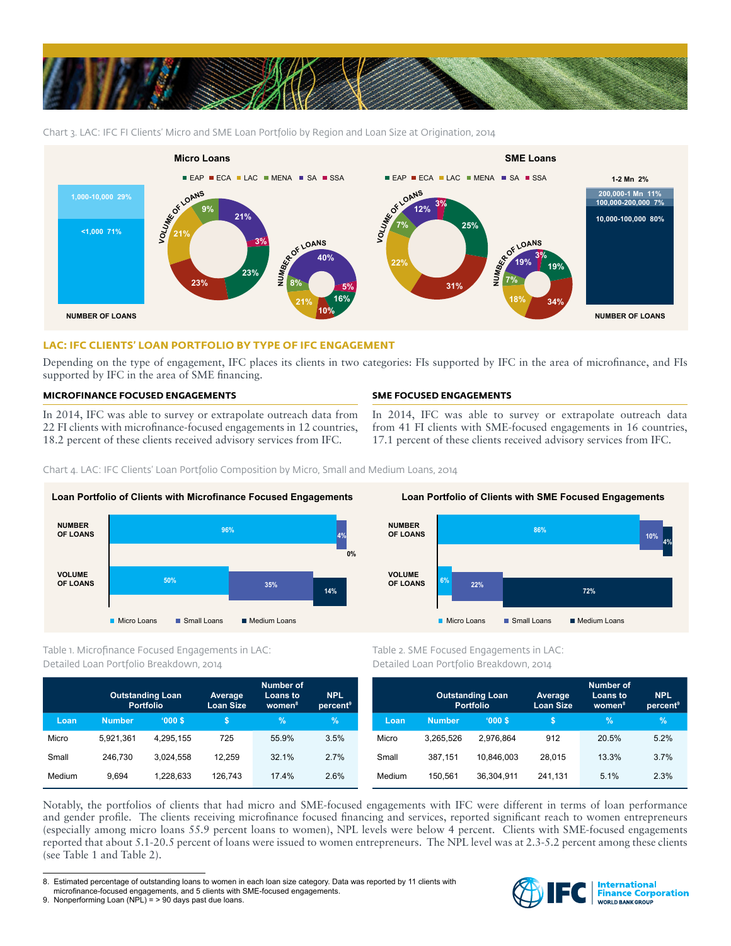

Chart 3. LAC: IFC FI Clients' Micro and SME Loan Portfolio by Region and Loan Size at Origination, 2014



# **LAC: IFC CLIENTS' LOAN PORTFOLIO BY TYPE OF IFC ENGAGEMENT**

Depending on the type of engagement, IFC places its clients in two categories: FIs supported by IFC in the area of microfinance, and FIs supported by IFC in the area of SME financing.

# **MICROFINANCE FOCUSED ENGAGEMENTS**

In 2014, IFC was able to survey or extrapolate outreach data from 22 FI clients with microfinance-focused engagements in 12 countries, 18.2 percent of these clients received advisory services from IFC.

# **SME FOCUSED ENGAGEMENTS**

In 2014, IFC was able to survey or extrapolate outreach data from 41 FI clients with SME-focused engagements in 16 countries, 17.1 percent of these clients received advisory services from IFC.

Chart 4. LAC: IFC Clients' Loan Portfolio Composition by Micro, Small and Medium Loans, 2014



Table 1. Microfinance Focused Engagements in LAC: Detailed Loan Portfolio Breakdown, 2014

|        | <b>Outstanding Loan</b><br><b>Portfolio</b> |           | Average<br><b>Loan Size</b> | <b>Number of</b><br>Loans to<br>women <sup>8</sup> | <b>NPL</b><br>percent <sup>9</sup> |
|--------|---------------------------------------------|-----------|-----------------------------|----------------------------------------------------|------------------------------------|
| Loan   | <b>Number</b>                               | '000S     | \$                          | $\frac{9}{6}$                                      | $\%$                               |
| Micro  | 5.921.361                                   | 4.295.155 | 725                         | 55.9%                                              | 3.5%                               |
| Small  | 246.730                                     | 3.024.558 | 12.259                      | 32.1%                                              | 2.7%                               |
| Medium | 9.694                                       | 1.228.633 | 126.743                     | 17.4%                                              | 2.6%                               |



Table 2. SME Focused Engagements in LAC: Detailed Loan Portfolio Breakdown, 2014

|        | <b>Outstanding Loan</b><br><b>Portfolio</b> |            | Average<br><b>Loan Size</b> | <b>Number of</b><br>Loans to<br>women <sup>8</sup> | <b>NPL</b><br>percent <sup>9</sup> |
|--------|---------------------------------------------|------------|-----------------------------|----------------------------------------------------|------------------------------------|
| Loan   | <b>Number</b>                               | '000S      | S                           | %                                                  | $\%$                               |
| Micro  | 3.265.526                                   | 2.976.864  | 912                         | 20.5%                                              | 5.2%                               |
| Small  | 387,151                                     | 10.846.003 | 28.015                      | 13.3%                                              | 3.7%                               |
| Medium | 150.561                                     | 36.304.911 | 241.131                     | 5.1%                                               | 2.3%                               |

Notably, the portfolios of clients that had micro and SME-focused engagements with IFC were different in terms of loan performance and gender profile. The clients receiving microfinance focused financing and services, reported significant reach to women entrepreneurs (especially among micro loans 55.9 percent loans to women), NPL levels were below 4 percent. Clients with SME-focused engagements reported that about 5.1-20.5 percent of loans were issued to women entrepreneurs. The NPL level was at 2.3-5.2 percent among these clients (see Table 1 and Table 2).



<sup>8.</sup> Estimated percentage of outstanding loans to women in each loan size category. Data was reported by 11 clients with microfinance-focused engagements, and 5 clients with SME-focused engagements.

<sup>9.</sup> Nonperforming Loan (NPL) = > 90 days past due loans.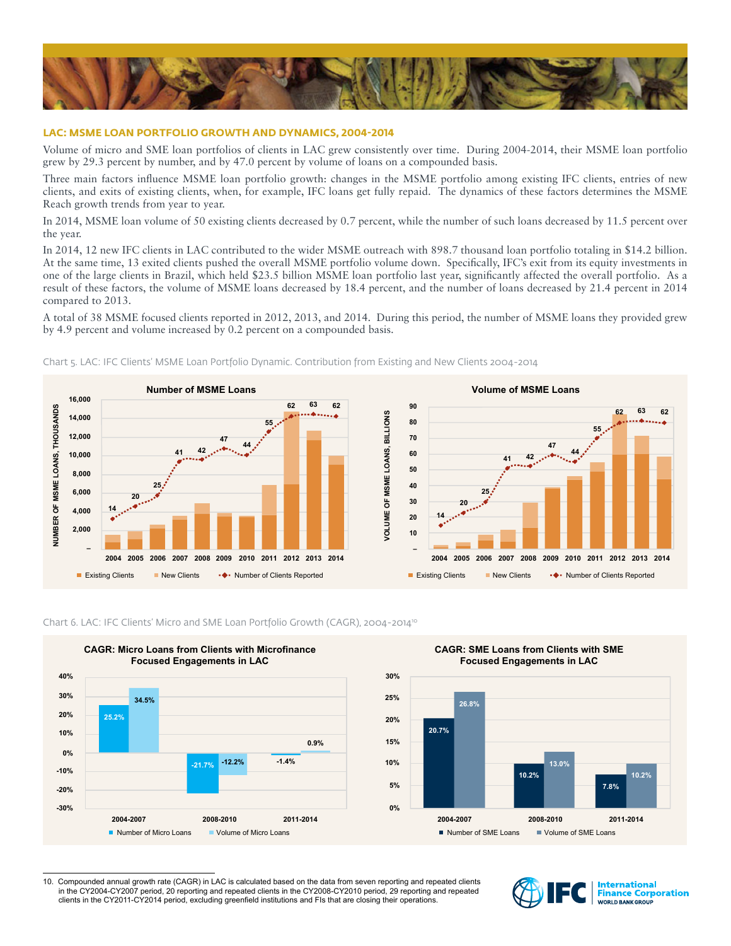

### **LAC: MSME LOAN PORTFOLIO GROWTH AND DYNAMICS, 2004-2014**

Volume of micro and SME loan portfolios of clients in LAC grew consistently over time. During 2004-2014, their MSME loan portfolio grew by 29.3 percent by number, and by 47.0 percent by volume of loans on a compounded basis.

Three main factors influence MSME loan portfolio growth: changes in the MSME portfolio among existing IFC clients, entries of new clients, and exits of existing clients, when, for example, IFC loans get fully repaid. The dynamics of these factors determines the MSME Reach growth trends from year to year.

In 2014, MSME loan volume of 50 existing clients decreased by 0.7 percent, while the number of such loans decreased by 11.5 percent over the year.

In 2014, 12 new IFC clients in LAC contributed to the wider MSME outreach with 898.7 thousand loan portfolio totaling in \$14.2 billion. At the same time, 13 exited clients pushed the overall MSME portfolio volume down. Specifically, IFC's exit from its equity investments in one of the large clients in Brazil, which held \$23.5 billion MSME loan portfolio last year, significantly affected the overall portfolio. As a result of these factors, the volume of MSME loans decreased by 18.4 percent, and the number of loans decreased by 21.4 percent in 2014 compared to 2013.

A total of 38 MSME focused clients reported in 2012, 2013, and 2014. During this period, the number of MSME loans they provided grew by 4.9 percent and volume increased by 0.2 percent on a compounded basis.



Chart 5. LAC: IFC Clients' MSME Loan Portfolio Dynamic. Contribution from Existing and New Clients 2004-2014



Chart 6. LAC: IFC Clients' Micro and SME Loan Portfolio Growth (CAGR), 2004-2014<sup>10</sup>



<sup>10.</sup> Compounded annual growth rate (CAGR) in LAC is calculated based on the data from seven reporting and repeated clients in the CY2004-CY2007 period, 20 reporting and repeated clients in the CY2008-CY2010 period, 29 reporting and repeated